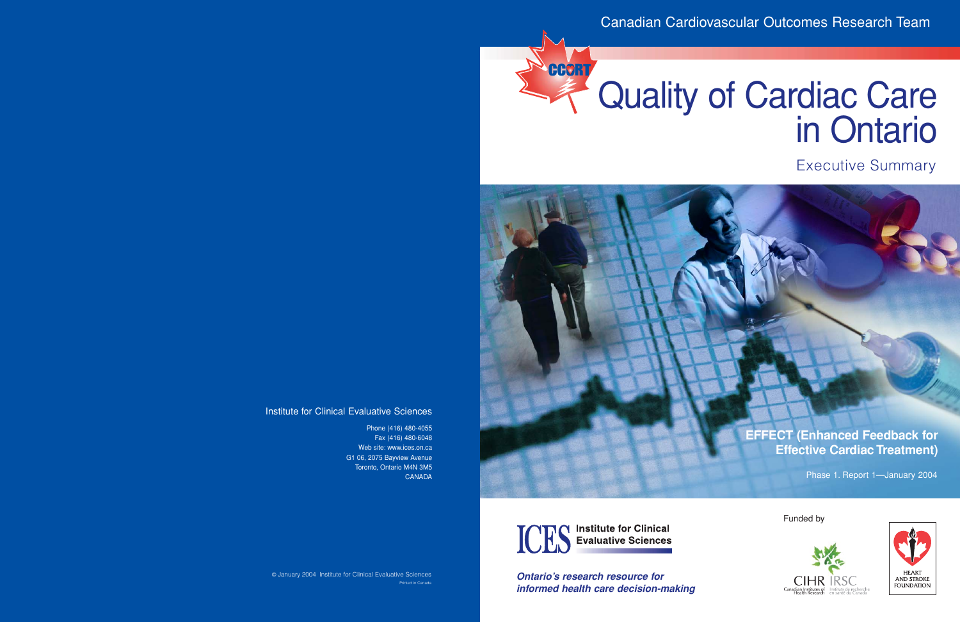# CCORT

## Quality of Cardiac Care in Ontario

Executive Summary

**EFFECT (Enhanced Feedback for Effective Cardiac Treatment)**

Phase 1. Report 1—January 2004



*Ontario's research resource for informed health care decision-making* Funded by



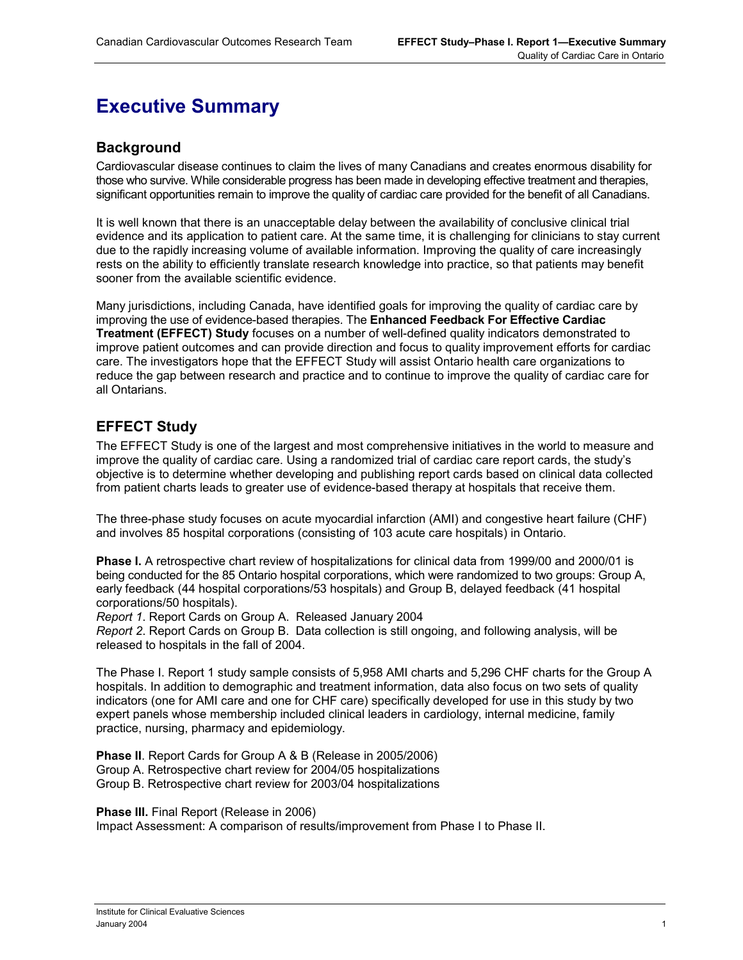### **Executive Summary**

#### **Background**

Cardiovascular disease continues to claim the lives of many Canadians and creates enormous disability for those who survive. While considerable progress has been made in developing effective treatment and therapies, significant opportunities remain to improve the quality of cardiac care provided for the benefit of all Canadians.

It is well known that there is an unacceptable delay between the availability of conclusive clinical trial evidence and its application to patient care. At the same time, it is challenging for clinicians to stay current due to the rapidly increasing volume of available information. Improving the quality of care increasingly rests on the ability to efficiently translate research knowledge into practice, so that patients may benefit sooner from the available scientific evidence.

Many jurisdictions, including Canada, have identified goals for improving the quality of cardiac care by improving the use of evidence-based therapies. The **Enhanced Feedback For Effective Cardiac Treatment (EFFECT) Study** focuses on a number of well-defined quality indicators demonstrated to improve patient outcomes and can provide direction and focus to quality improvement efforts for cardiac care. The investigators hope that the EFFECT Study will assist Ontario health care organizations to reduce the gap between research and practice and to continue to improve the quality of cardiac care for all Ontarians.

#### **EFFECT Study**

The EFFECT Study is one of the largest and most comprehensive initiatives in the world to measure and improve the quality of cardiac care. Using a randomized trial of cardiac care report cards, the study's objective is to determine whether developing and publishing report cards based on clinical data collected from patient charts leads to greater use of evidence-based therapy at hospitals that receive them.

The three-phase study focuses on acute myocardial infarction (AMI) and congestive heart failure (CHF) and involves 85 hospital corporations (consisting of 103 acute care hospitals) in Ontario.

**Phase I.** A retrospective chart review of hospitalizations for clinical data from 1999/00 and 2000/01 is being conducted for the 85 Ontario hospital corporations, which were randomized to two groups: Group A, early feedback (44 hospital corporations/53 hospitals) and Group B, delayed feedback (41 hospital corporations/50 hospitals).

*Report 1*. Report Cards on Group A. Released January 2004

*Report 2*. Report Cards on Group B. Data collection is still ongoing, and following analysis, will be released to hospitals in the fall of 2004.

The Phase I. Report 1 study sample consists of 5,958 AMI charts and 5,296 CHF charts for the Group A hospitals. In addition to demographic and treatment information, data also focus on two sets of quality indicators (one for AMI care and one for CHF care) specifically developed for use in this study by two expert panels whose membership included clinical leaders in cardiology, internal medicine, family practice, nursing, pharmacy and epidemiology.

**Phase II**. Report Cards for Group A & B (Release in 2005/2006) Group A. Retrospective chart review for 2004/05 hospitalizations Group B. Retrospective chart review for 2003/04 hospitalizations

**Phase III.** Final Report (Release in 2006) Impact Assessment: A comparison of results/improvement from Phase I to Phase II.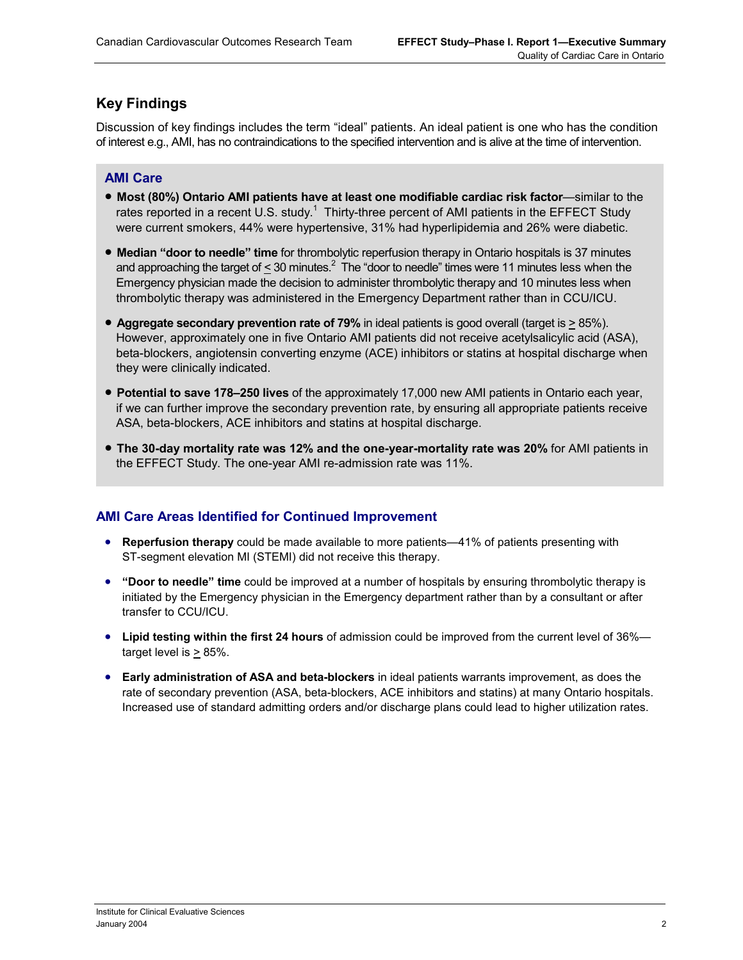#### **Key Findings**

Discussion of key findings includes the term "ideal" patients. An ideal patient is one who has the condition of interest e.g., AMI, has no contraindications to the specified intervention and is alive at the time of intervention.

#### **AMI Care**

- **Most (80%) Ontario AMI patients have at least one modifiable cardiac risk factor**—similar to the rates reported in a recent U.S. study.<sup>1</sup> Thirty-three percent of AMI patients in the EFFECT Study were current smokers, 44% were hypertensive, 31% had hyperlipidemia and 26% were diabetic.
- **Median "door to needle" time** for thrombolytic reperfusion therapy in Ontario hospitals is 37 minutes and approaching the target of  $\leq$  30 minutes.<sup>2</sup> The "door to needle" times were 11 minutes less when the Emergency physician made the decision to administer thrombolytic therapy and 10 minutes less when thrombolytic therapy was administered in the Emergency Department rather than in CCU/ICU.
- **Aggregate secondary prevention rate of 79%** in ideal patients is good overall (target is > 85%). However, approximately one in five Ontario AMI patients did not receive acetylsalicylic acid (ASA), beta-blockers, angiotensin converting enzyme (ACE) inhibitors or statins at hospital discharge when they were clinically indicated.
- **Potential to save 178–250 lives** of the approximately 17,000 new AMI patients in Ontario each year, if we can further improve the secondary prevention rate, by ensuring all appropriate patients receive ASA, beta-blockers, ACE inhibitors and statins at hospital discharge.
- **The 30-day mortality rate was 12% and the one-year-mortality rate was 20%** for AMI patients in the EFFECT Study. The one-year AMI re-admission rate was 11%.

#### **AMI Care Areas Identified for Continued Improvement**

- **Reperfusion therapy** could be made available to more patients—41% of patients presenting with ST-segment elevation MI (STEMI) did not receive this therapy.
- **"Door to needle" time** could be improved at a number of hospitals by ensuring thrombolytic therapy is initiated by the Emergency physician in the Emergency department rather than by a consultant or after transfer to CCU/ICU.
- **Lipid testing within the first 24 hours** of admission could be improved from the current level of 36% target level is > 85%.
- **Early administration of ASA and beta-blockers** in ideal patients warrants improvement, as does the rate of secondary prevention (ASA, beta-blockers, ACE inhibitors and statins) at many Ontario hospitals. Increased use of standard admitting orders and/or discharge plans could lead to higher utilization rates.